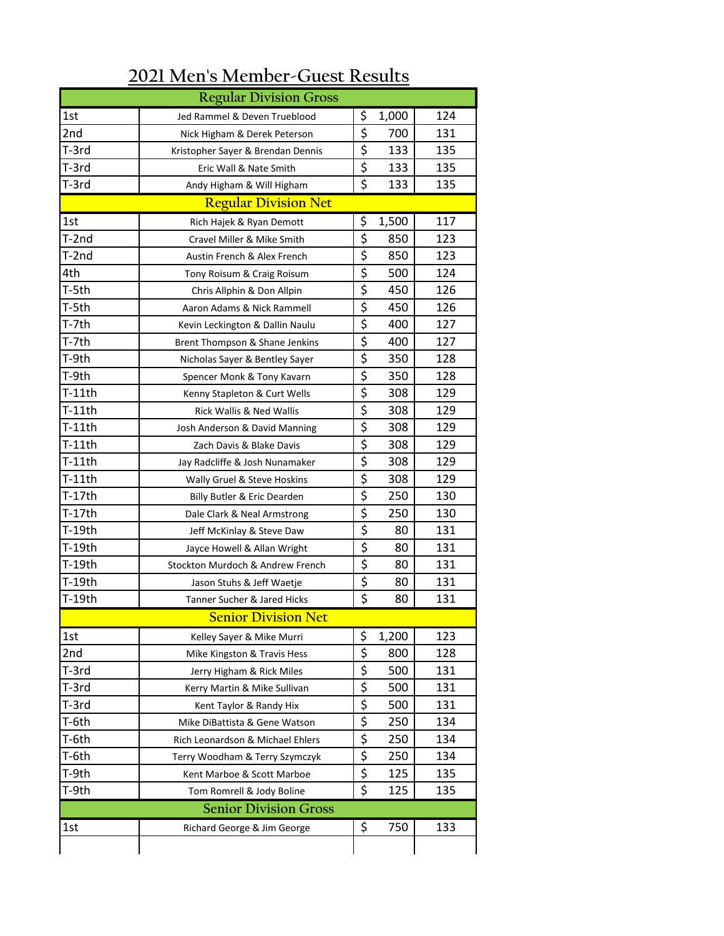| ozi incho includer Gaest Results |                                   |                         |       |     |  |  |  |  |  |
|----------------------------------|-----------------------------------|-------------------------|-------|-----|--|--|--|--|--|
|                                  | <b>Regular Division Gross</b>     |                         |       |     |  |  |  |  |  |
| 1st                              | Jed Rammel & Deven Trueblood      | \$                      | 1,000 | 124 |  |  |  |  |  |
| 2nd                              | Nick Higham & Derek Peterson      | \$                      | 700   | 131 |  |  |  |  |  |
| T-3rd                            | Kristopher Sayer & Brendan Dennis | \$                      | 133   | 135 |  |  |  |  |  |
| T-3rd                            | Eric Wall & Nate Smith            | \$                      | 133   | 135 |  |  |  |  |  |
| T-3rd                            | Andy Higham & Will Higham         | $\overline{\mathsf{s}}$ | 133   | 135 |  |  |  |  |  |
| <b>Regular Division Net</b>      |                                   |                         |       |     |  |  |  |  |  |
| 1st                              | Rich Hajek & Ryan Demott          | \$                      | 1,500 | 117 |  |  |  |  |  |
| T-2nd                            | Cravel Miller & Mike Smith        | \$                      | 850   | 123 |  |  |  |  |  |
| T-2nd                            | Austin French & Alex French       | \$                      | 850   | 123 |  |  |  |  |  |
| 4th                              | Tony Roisum & Craig Roisum        | \$                      | 500   | 124 |  |  |  |  |  |
| T-5th                            | Chris Allphin & Don Allpin        | \$                      | 450   | 126 |  |  |  |  |  |
| T-5th                            | Aaron Adams & Nick Rammell        | \$                      | 450   | 126 |  |  |  |  |  |
| T-7th                            | Kevin Leckington & Dallin Naulu   | \$                      | 400   | 127 |  |  |  |  |  |
| T-7th                            | Brent Thompson & Shane Jenkins    | \$                      | 400   | 127 |  |  |  |  |  |
| T-9th                            | Nicholas Sayer & Bentley Sayer    | \$                      | 350   | 128 |  |  |  |  |  |
| T-9th                            | Spencer Monk & Tony Kavarn        | \$                      | 350   | 128 |  |  |  |  |  |
| T-11th                           | Kenny Stapleton & Curt Wells      | \$                      | 308   | 129 |  |  |  |  |  |
| $T-11th$                         | Rick Wallis & Ned Wallis          | \$                      | 308   | 129 |  |  |  |  |  |
| T-11th                           | Josh Anderson & David Manning     | \$                      | 308   | 129 |  |  |  |  |  |
| $T-11th$                         | Zach Davis & Blake Davis          | \$                      | 308   | 129 |  |  |  |  |  |
| T-11th                           | Jay Radcliffe & Josh Nunamaker    | $\overline{\mathsf{S}}$ | 308   | 129 |  |  |  |  |  |
| T-11th                           | Wally Gruel & Steve Hoskins       | \$                      | 308   | 129 |  |  |  |  |  |
| T-17th                           | Billy Butler & Eric Dearden       | \$                      | 250   | 130 |  |  |  |  |  |
| T-17th                           | Dale Clark & Neal Armstrong       | \$                      | 250   | 130 |  |  |  |  |  |
| T-19th                           | Jeff McKinlay & Steve Daw         | \$                      | 80    | 131 |  |  |  |  |  |
| T-19th                           | Jayce Howell & Allan Wright       | \$                      | 80    | 131 |  |  |  |  |  |
| T-19th                           | Stockton Murdoch & Andrew French  | $\overline{\mathsf{S}}$ | 80    | 131 |  |  |  |  |  |
| T-19th                           | Jason Stuhs & Jeff Waetje         | \$                      | 80    | 131 |  |  |  |  |  |
| T-19th                           | Tanner Sucher & Jared Hicks       | \$                      | 80    | 131 |  |  |  |  |  |
|                                  | <b>Senior Division Net</b>        |                         |       |     |  |  |  |  |  |
| 1st                              | Kelley Sayer & Mike Murri         | \$                      | 1,200 | 123 |  |  |  |  |  |
| 2nd                              | Mike Kingston & Travis Hess       | \$                      | 800   | 128 |  |  |  |  |  |
| T-3rd                            | Jerry Higham & Rick Miles         | \$                      | 500   | 131 |  |  |  |  |  |
| T-3rd                            | Kerry Martin & Mike Sullivan      | \$                      | 500   | 131 |  |  |  |  |  |
| T-3rd                            | Kent Taylor & Randy Hix           | \$                      | 500   | 131 |  |  |  |  |  |
| T-6th                            | Mike DiBattista & Gene Watson     | \$                      | 250   | 134 |  |  |  |  |  |
| T-6th                            | Rich Leonardson & Michael Ehlers  | \$                      | 250   | 134 |  |  |  |  |  |
| T-6th                            | Terry Woodham & Terry Szymczyk    | \$                      | 250   | 134 |  |  |  |  |  |
| T-9th                            | Kent Marboe & Scott Marboe        | \$                      | 125   | 135 |  |  |  |  |  |
| T-9th                            | Tom Romrell & Jody Boline         | \$                      | 125   | 135 |  |  |  |  |  |
| <b>Senior Division Gross</b>     |                                   |                         |       |     |  |  |  |  |  |
| 1st                              | Richard George & Jim George       | \$                      | 750   | 133 |  |  |  |  |  |
|                                  |                                   |                         |       |     |  |  |  |  |  |
|                                  |                                   |                         |       |     |  |  |  |  |  |

## **2021 Men's Member-Guest Results**